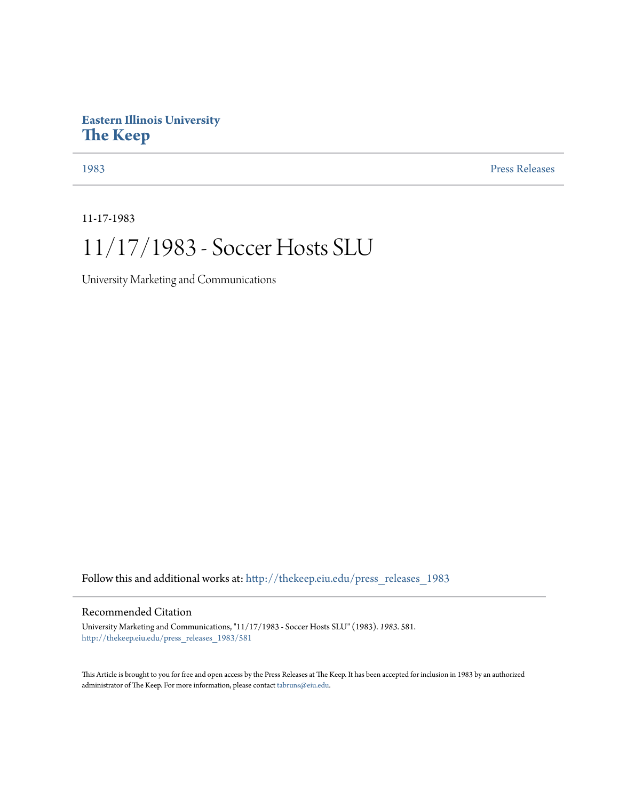## **Eastern Illinois University [The Keep](http://thekeep.eiu.edu?utm_source=thekeep.eiu.edu%2Fpress_releases_1983%2F581&utm_medium=PDF&utm_campaign=PDFCoverPages)**

[1983](http://thekeep.eiu.edu/press_releases_1983?utm_source=thekeep.eiu.edu%2Fpress_releases_1983%2F581&utm_medium=PDF&utm_campaign=PDFCoverPages) [Press Releases](http://thekeep.eiu.edu/press_releases_collection?utm_source=thekeep.eiu.edu%2Fpress_releases_1983%2F581&utm_medium=PDF&utm_campaign=PDFCoverPages)

11-17-1983

## 11/17/1983 - Soccer Hosts SLU

University Marketing and Communications

Follow this and additional works at: [http://thekeep.eiu.edu/press\\_releases\\_1983](http://thekeep.eiu.edu/press_releases_1983?utm_source=thekeep.eiu.edu%2Fpress_releases_1983%2F581&utm_medium=PDF&utm_campaign=PDFCoverPages)

## Recommended Citation

University Marketing and Communications, "11/17/1983 - Soccer Hosts SLU" (1983). *1983*. 581. [http://thekeep.eiu.edu/press\\_releases\\_1983/581](http://thekeep.eiu.edu/press_releases_1983/581?utm_source=thekeep.eiu.edu%2Fpress_releases_1983%2F581&utm_medium=PDF&utm_campaign=PDFCoverPages)

This Article is brought to you for free and open access by the Press Releases at The Keep. It has been accepted for inclusion in 1983 by an authorized administrator of The Keep. For more information, please contact [tabruns@eiu.edu.](mailto:tabruns@eiu.edu)